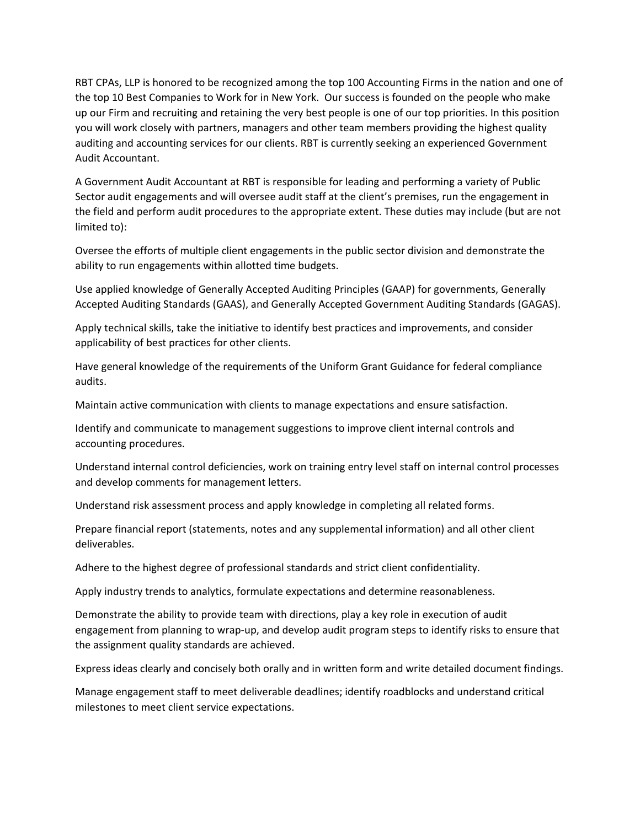RBT CPAs, LLP is honored to be recognized among the top 100 Accounting Firms in the nation and one of the top 10 Best Companies to Work for in New York. Our success is founded on the people who make up our Firm and recruiting and retaining the very best people is one of our top priorities. In this position you will work closely with partners, managers and other team members providing the highest quality auditing and accounting services for our clients. RBT is currently seeking an experienced Government Audit Accountant.

A Government Audit Accountant at RBT is responsible for leading and performing a variety of Public Sector audit engagements and will oversee audit staff at the client's premises, run the engagement in the field and perform audit procedures to the appropriate extent. These duties may include (but are not limited to):

Oversee the efforts of multiple client engagements in the public sector division and demonstrate the ability to run engagements within allotted time budgets.

Use applied knowledge of Generally Accepted Auditing Principles (GAAP) for governments, Generally Accepted Auditing Standards (GAAS), and Generally Accepted Government Auditing Standards (GAGAS).

Apply technical skills, take the initiative to identify best practices and improvements, and consider applicability of best practices for other clients.

Have general knowledge of the requirements of the Uniform Grant Guidance for federal compliance audits.

Maintain active communication with clients to manage expectations and ensure satisfaction.

Identify and communicate to management suggestions to improve client internal controls and accounting procedures.

Understand internal control deficiencies, work on training entry level staff on internal control processes and develop comments for management letters.

Understand risk assessment process and apply knowledge in completing all related forms.

Prepare financial report (statements, notes and any supplemental information) and all other client deliverables.

Adhere to the highest degree of professional standards and strict client confidentiality.

Apply industry trends to analytics, formulate expectations and determine reasonableness.

Demonstrate the ability to provide team with directions, play a key role in execution of audit engagement from planning to wrap-up, and develop audit program steps to identify risks to ensure that the assignment quality standards are achieved.

Express ideas clearly and concisely both orally and in written form and write detailed document findings.

Manage engagement staff to meet deliverable deadlines; identify roadblocks and understand critical milestones to meet client service expectations.